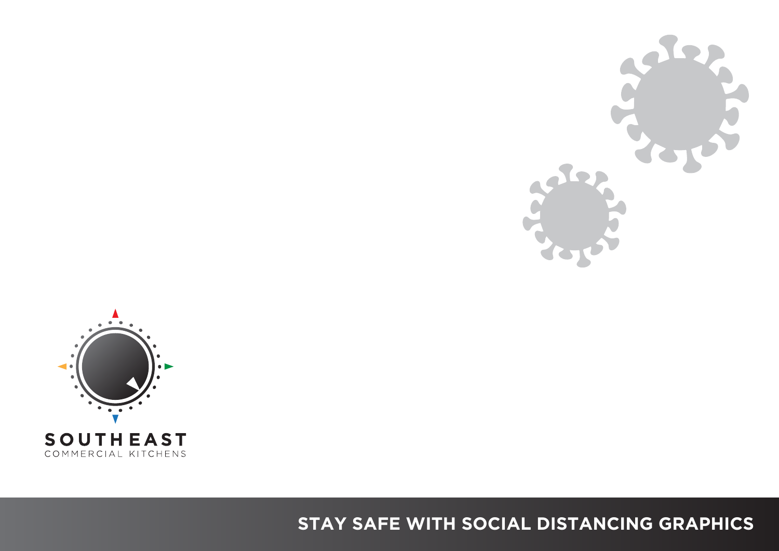



COMMERCIAL KITCHENS

# **STAY SAFE WITH SOCIAL DISTANCING GRAPHICS**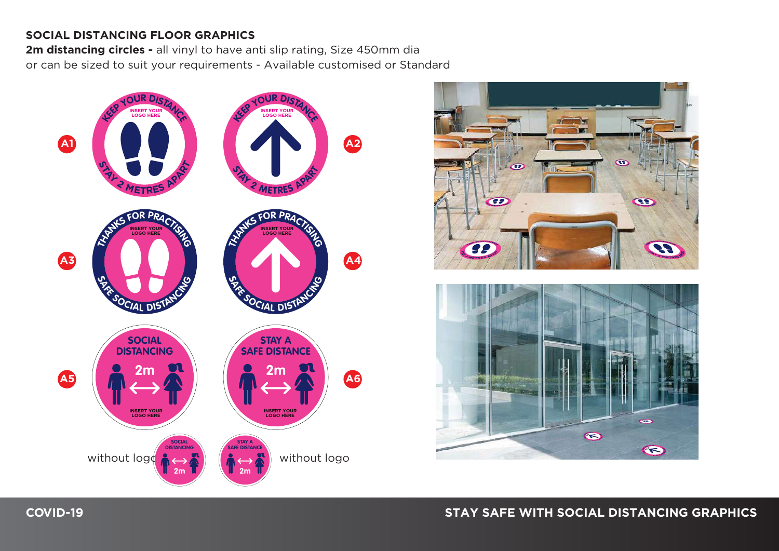#### **SOCIAL DISTANCING FLOOR GRAPHICS**

**2m distancing circles -** all vinyl to have anti slip rating, Size 450mm dia or can be sized to suit your requirements - Available customised or Standard





### **COVID-19 STAY SAFE WITH SOCIAL DISTANCING GRAPHICS**

 $\odot$ 

 $\blacksquare$ 

 $\left($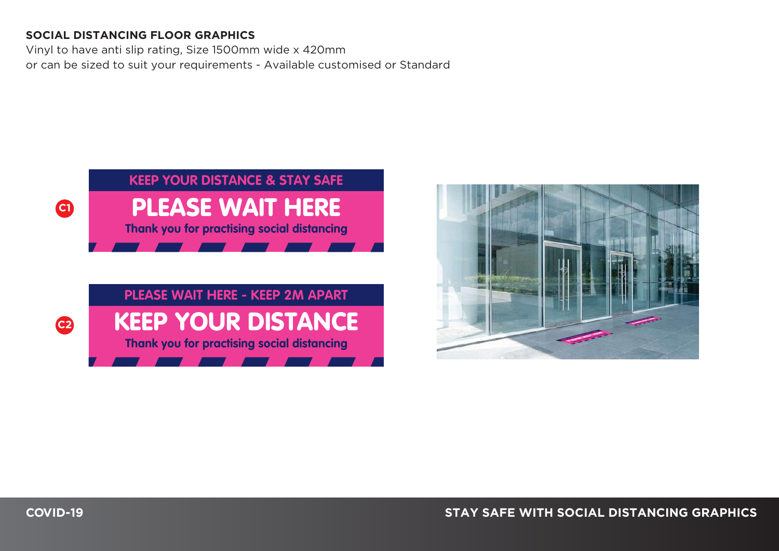#### **SOCIAL DISTANCING FLOOR GRAPHICS**

Vinyl to have anti slip rating, Size 1500mm wide x 420mm or can be sized to suit your requirements - Available customised or Standard



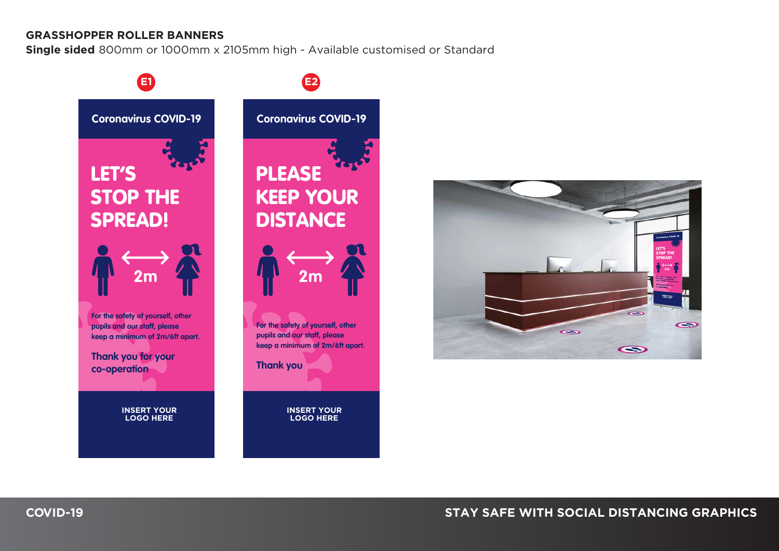#### **GRASSHOPPER ROLLER BANNERS**

**Single sided** 800mm or 1000mm x 2105mm high - Available customised or Standard





### **COVID-19 STAY SAFE WITH SOCIAL DISTANCING GRAPHICS**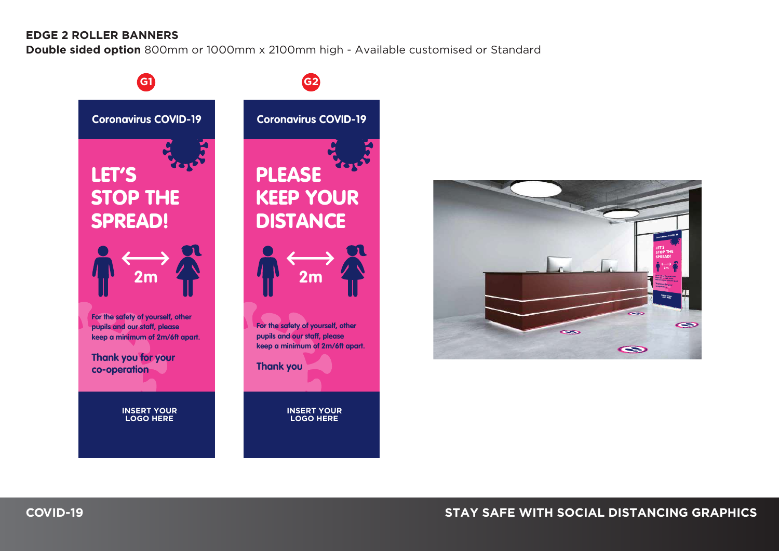#### **EDGE 2 ROLLER BANNERS**

**Double sided option** 800mm or 1000mm x 2100mm high - Available customised or Standard





### **COVID-19 STAY SAFE WITH SOCIAL DISTANCING GRAPHICS**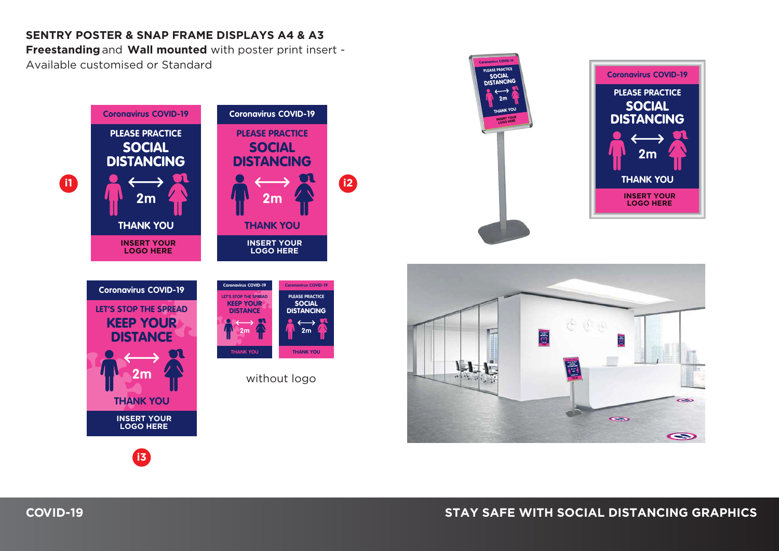#### **SENTRY POSTER & SNAP FRAME DISPLAYS A4 & A3**

**Freestanding** and **Wall mounted** with poster print insert - Available customised or Standard







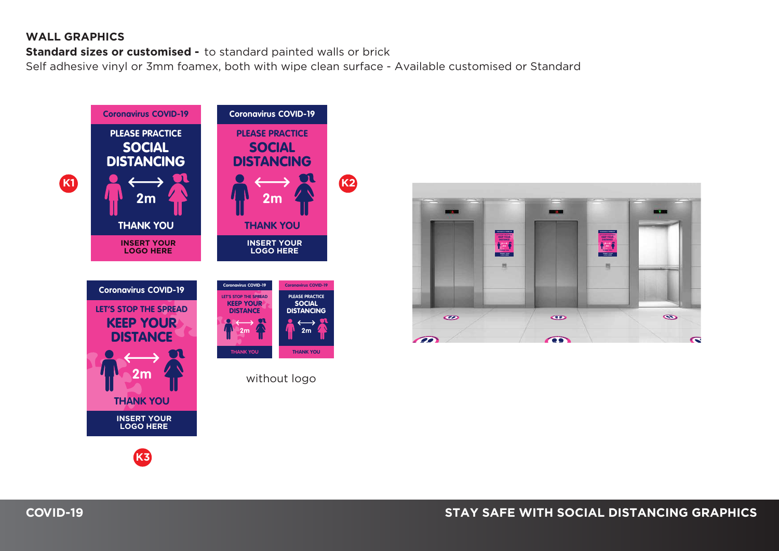#### **WALL GRAPHICS**

**Standard sizes or customised -** to standard painted walls or brick

Self adhesive vinyl or 3mm foamex, both with wipe clean surface - Available customised or Standard



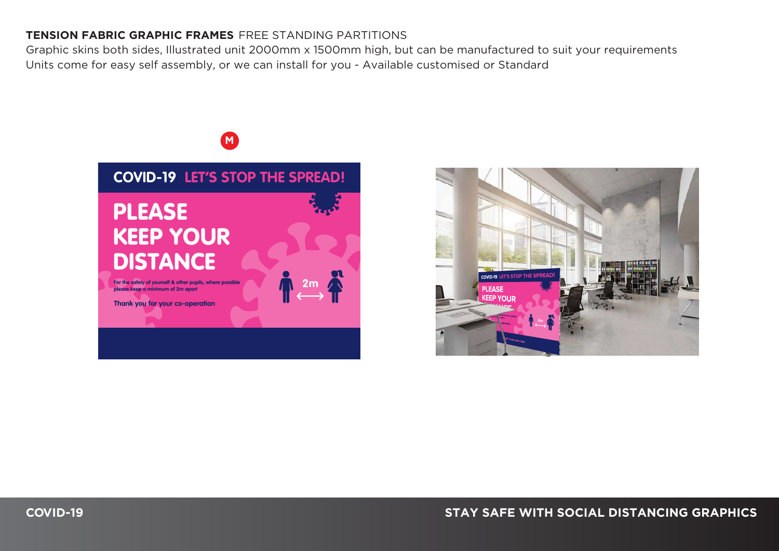### **TENSION FABRIC GRAPHIC FRAMES** FREE STANDING PARTITIONS

Graphic skins both sides, Illustrated unit 2000mm x 1500mm high, but can be manufactured to suit your requirements Units come for easy self assembly, or we can install for you - Available customised or Standard



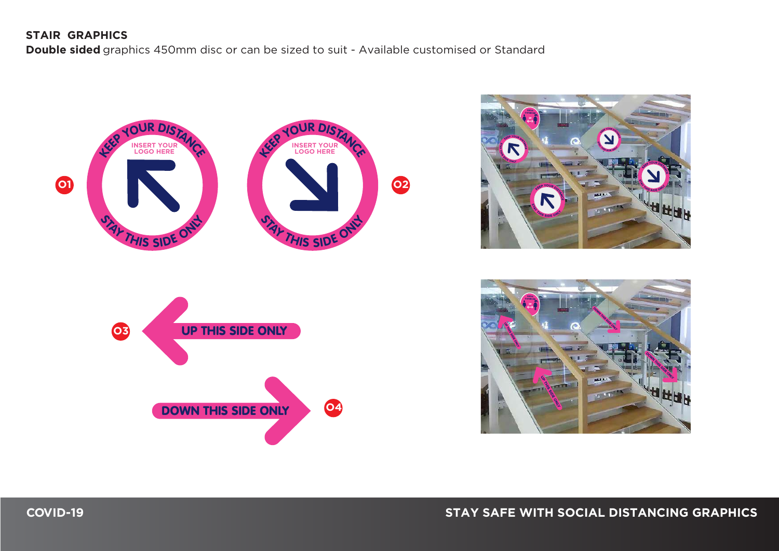#### **STAIR GRAPHICS**

**Double sided** graphics 450mm disc or can be sized to suit - Available customised or Standard





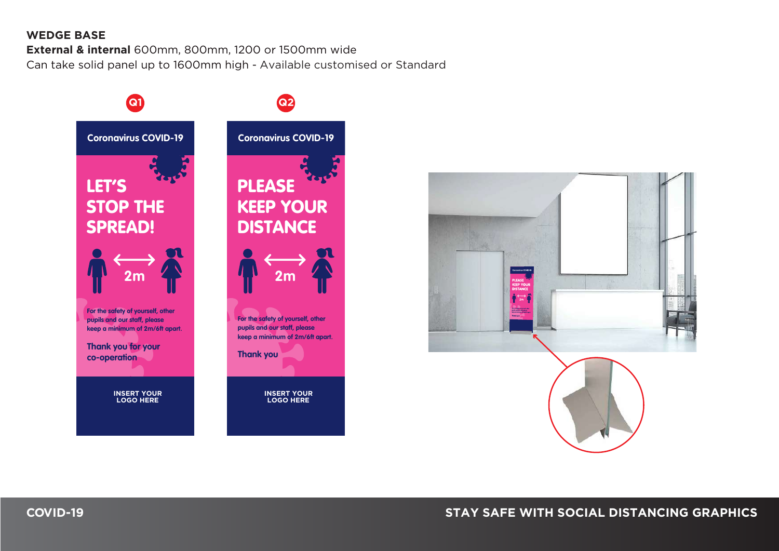#### **WEDGE BASE**

**External & internal** 600mm, 800mm, 1200 or 1500mm wide Can take solid panel up to 1600mm high - Available customised or Standard



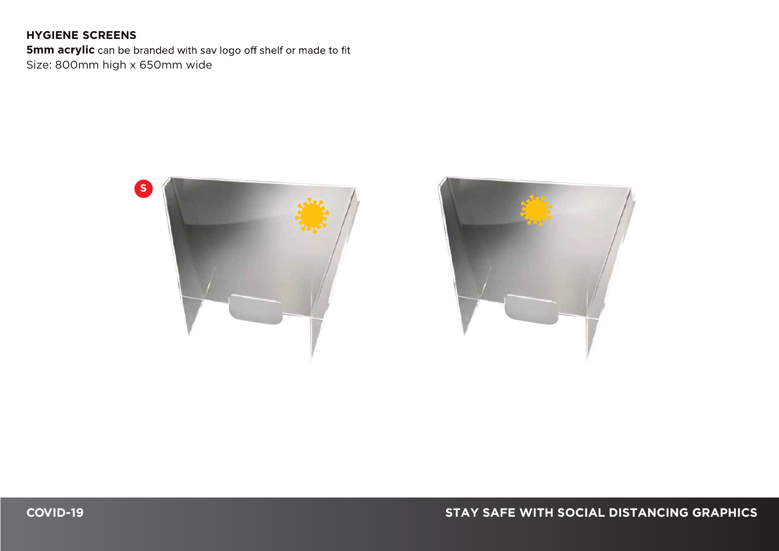### **HYGIENE SCREENS**

**5mm acrylic** can be branded with sav logo off shelf or made to fit Size: 800mm high x 650mm wide